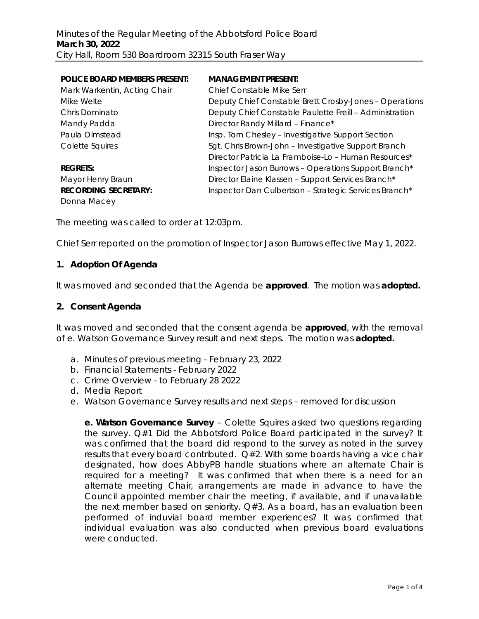| <b>POLICE BOARD MEMBERS PRESENT:</b> | <b>MANAGEMENT PRESENT:</b>                              |
|--------------------------------------|---------------------------------------------------------|
| Mark Warkentin, Acting Chair         | Chief Constable Mike Serr                               |
| Mike Welte                           | Deputy Chief Constable Brett Crosby-Jones - Operations  |
| Chris Dominato                       | Deputy Chief Constable Paulette Freill - Administration |
| Mandy Padda                          | Director Randy Millard - Finance*                       |
| Paula Olmstead                       | Insp. Tom Chesley - Investigative Support Section       |
| Colette Squires                      | Sgt. Chris Brown-John - Investigative Support Branch    |
|                                      | Director Patricia La Framboise-Lo - Human Resources*    |
| <b>REGRETS:</b>                      | Inspector Jason Burrows - Operations Support Branch*    |
| Mayor Henry Braun                    | Director Elaine Klassen - Support Services Branch*      |
| <b>RECORDING SECRETARY:</b>          | Inspector Dan Culbertson - Strategic Services Branch*   |
| Donna Macey                          |                                                         |

The meeting was called to order at 12:03pm.

Chief Serr reported on the promotion of Inspector Jason Burrows effective May 1, 2022.

### **1. Adoption Of Agenda**

It was moved and seconded that the Agenda be **approved**.The motion was **adopted.**

#### **2. Consent Agenda**

It was moved and seconded that the consent agenda be **approved**, with the removal of e. Watson Governance Survey result and next steps.The motion was **adopted.**

- a. Minutes of previous meeting February 23, 2022
- b. Financial Statements February 2022
- c. Crime Overview to February 28 2022
- d. Media Report
- e. Watson Governance Survey results and next steps *removed for discussion*

**e. Watson Governance Survey** – Colette Squires asked two questions regarding the survey. Q#1 Did the Abbotsford Police Board participated in the survey? It was confirmed that the board did respond to the survey as noted in the survey results that every board contributed. Q#2. With some boards having a vice chair designated, how does AbbyPB handle situations where an alternate Chair is required for a meeting? It was confirmed that when there is a need for an alternate meeting Chair, arrangements are made in advance to have the Council appointed member chair the meeting, if available, and if unavailable the next member based on seniority.  $Q#3$ . As a board, has an evaluation been performed of induvial board member experiences? It was confirmed that individual evaluation was also conducted when previous board evaluations were conducted.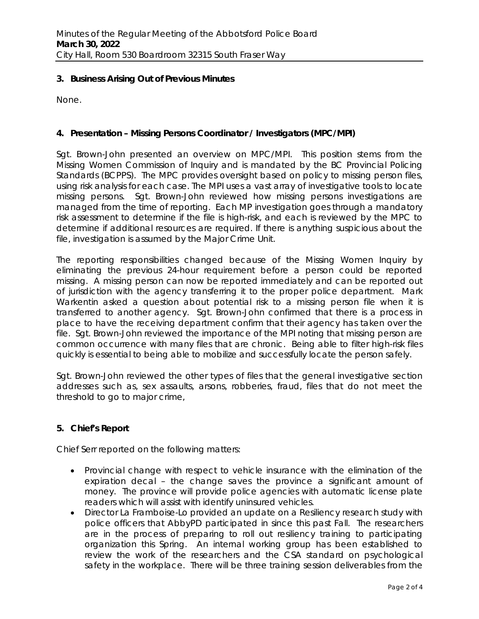## **3. Business Arising Out of Previous Minutes**

None.

# **4. Presentation – Missing Persons Coordinator / Investigators (MPC/MPI)**

Sgt. Brown-John presented an overview on MPC/MPI. This position stems from the Missing Women Commission of Inquiry and is mandated by the BC Provincial Policing Standards (BCPPS). The MPC provides oversight based on policy to missing person files, using risk analysis for each case. The MPI uses a vast array of investigative tools to locate missing persons. Sgt. Brown-John reviewed how missing persons investigations are managed from the time of reporting. Each MP investigation goes through a mandatory risk assessment to determine if the file is high-risk, and each is reviewed by the MPC to determine if additional resources are required. If there is anything suspicious about the file, investigation is assumed by the Major Crime Unit.

The reporting responsibilities changed because of the Missing Women Inquiry by eliminating the previous 24-hour requirement before a person could be reported missing. A missing person can now be reported immediately and can be reported out of jurisdiction with the agency transferring it to the proper police department. Mark Warkentin asked a question about potential risk to a missing person file when it is transferred to another agency. Sgt. Brown-John confirmed that there is a process in place to have the receiving department confirm that their agency has taken over the file. Sgt. Brown-John reviewed the importance of the MPI noting that missing person are common occurrence with many files that are chronic. Being able to filter high-risk files quickly is essential to being able to mobilize and successfully locate the person safely.

Sgt. Brown-John reviewed the other types of files that the general investigative section addresses such as, sex assaults, arsons, robberies, fraud, files that do not meet the threshold to go to major crime,

## **5. Chief's Report**

Chief Serr reported on the following matters:

- Provincial change with respect to vehicle insurance with the elimination of the expiration decal – the change saves the province a significant amount of money. The province will provide police agencies with automatic license plate readers which will assist with identify uninsured vehicles.
- Director La Framboise-Lo provided an update on a Resiliency research study with police officers that AbbyPD participated in since this past Fall. The researchers are in the process of preparing to roll out resiliency training to participating organization this Spring. An internal working group has been established to review the work of the researchers and the CSA standard on psychological safety in the workplace. There will be three training session deliverables from the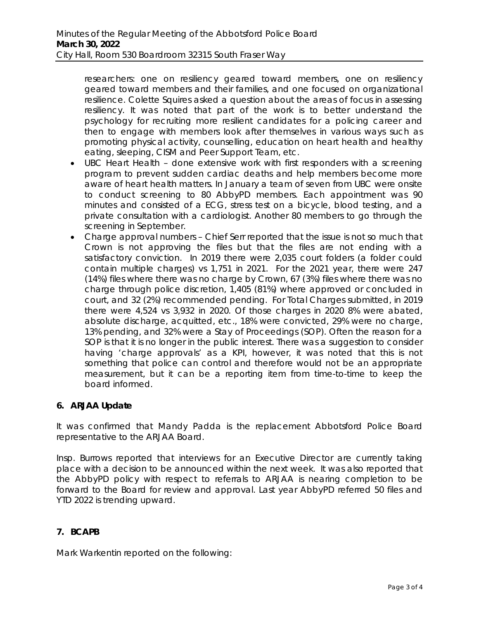researchers: one on resiliency geared toward members, one on resiliency geared toward members and their families, and one focused on organizational resilience. Colette Squires asked a question about the areas of focus in assessing resiliency. It was noted that part of the work is to better understand the psychology for recruiting more resilient candidates for a policing career and then to engage with members look after themselves in various ways such as promoting physical activity, counselling, education on heart health and healthy eating, sleeping, CISM and Peer Support Team, etc.

- UBC Heart Health done extensive work with first responders with a screening program to prevent sudden cardiac deaths and help members become more aware of heart health matters. In January a team of seven from UBC were onsite to conduct screening to 80 AbbyPD members. Each appointment was 90 minutes and consisted of a ECG, stress test on a bicycle, blood testing, and a private consultation with a cardiologist. Another 80 members to go through the screening in September.
- Charge approval numbers Chief Serr reported that the issue is not so much that Crown is not approving the files but that the files are not ending with a satisfactory conviction. In 2019 there were 2,035 court folders (a folder could contain multiple charges) vs 1,751 in 2021. For the 2021 year, there were 247 (14%) files where there was no charge by Crown, 67 (3%) files where there was no charge through police discretion, 1,405 (81%) where approved or concluded in court, and 32 (2%) recommended pending. For Total Charges submitted, in 2019 there were 4,524 vs 3,932 in 2020. Of those charges in 2020 8% were abated, absolute discharge, acquitted, etc., 18% were convicted, 29% were no charge, 13% pending, and 32% were a Stay of Proceedings (SOP). Often the reason for a SOP is that it is no longer in the public interest. There was a suggestion to consider having 'charge approvals' as a KPI, however, it was noted that this is not something that police can control and therefore would not be an appropriate measurement, but it can be a reporting item from time-to-time to keep the board informed.

## **6. ARJAA Update**

It was confirmed that Mandy Padda is the replacement Abbotsford Police Board representative to the ARJAA Board.

Insp. Burrows reported that interviews for an Executive Director are currently taking place with a decision to be announced within the next week. It was also reported that the AbbyPD policy with respect to referrals to ARJAA is nearing completion to be forward to the Board for review and approval. Last year AbbyPD referred 50 files and YTD 2022 is trending upward.

## **7. BCAPB**

Mark Warkentin reported on the following: